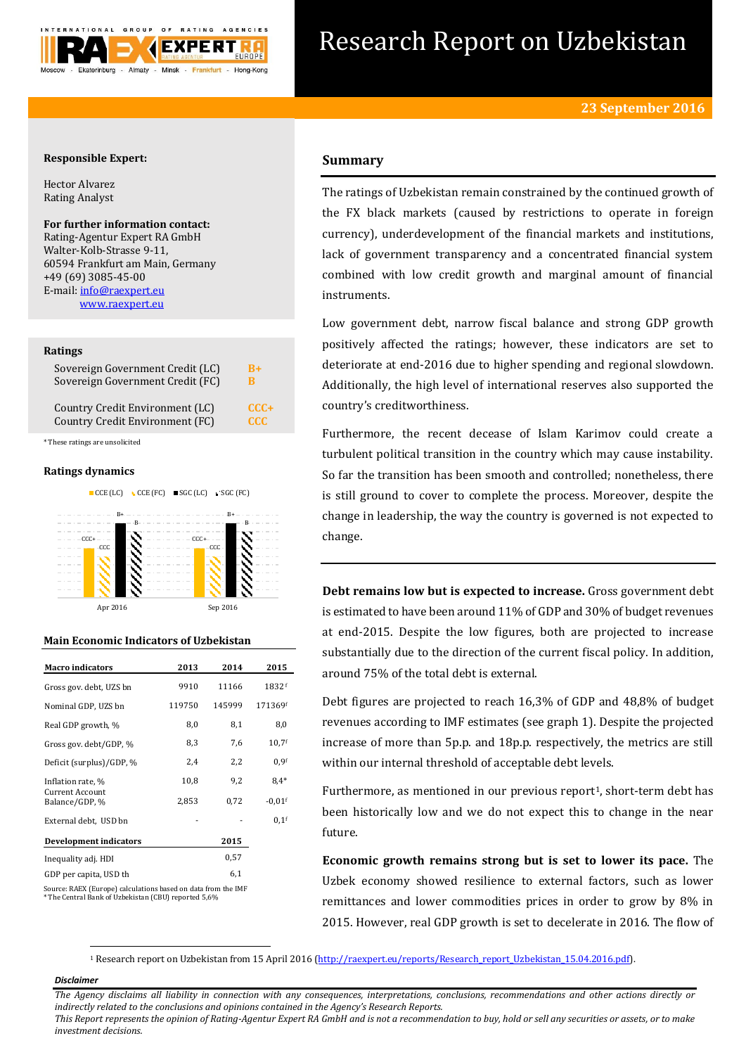

# Research Report on Uzbekistan

# **Responsible Expert:**

Hector Alvarez Rating Analyst

# **For further information contact:** Rating-Agentur Expert RA GmbH Walter-Kolb-Strasse 9-11,

60594 Frankfurt am Main, Germany +49 (69) 3085-45-00 E-mail[: info@raexpert.eu](mailto:info@raexpert.eu) [www.raexpert.eu](http://raexpert.eu/)

#### **Ratings**

| Sovereign Government Credit (LC) | B+         |
|----------------------------------|------------|
| Sovereign Government Credit (FC) | R          |
| Country Credit Environment (LC)  | $CCC+$     |
| Country Credit Environment (FC)  | <b>CCC</b> |

\* These ratings are unsolicited

# **Ratings dynamics**



#### **Main Economic Indicators of Uzbekistan**

| <b>Macro indicators</b>                                      | 2013   | 2014   | 2015             |
|--------------------------------------------------------------|--------|--------|------------------|
| Gross gov. debt. UZS bn                                      | 9910   | 11166  | 1832f            |
| Nominal GDP, UZS bn                                          | 119750 | 145999 | 171369f          |
| Real GDP growth, %                                           | 8,0    | 8,1    | 8,0              |
| Gross gov. debt/GDP, %                                       | 8,3    | 7,6    | $10,7$ f         |
| Deficit (surplus)/GDP, %                                     | 2,4    | 2,2    | 0.9 <sup>f</sup> |
| Inflation rate, %                                            | 10,8   | 9,2    | $8,4*$           |
| <b>Current Account</b><br>Balance/GDP, %                     | 2,853  | 0,72   | $-0.01$ f        |
| External debt, USD bn                                        |        |        | $0.1$ f          |
| <b>Development indicators</b>                                |        | 2015   |                  |
| Inequality adj. HDI                                          |        | 0,57   |                  |
| GDP per capita, USD th                                       |        | 6,1    |                  |
| Course PAEV (Furano) salgulations based on data from the IMF |        |        |                  |

Source: RAEX (Europe) calculations based on data from the IMF \* The Central Bank of Uzbekistan (CBU) reported 5,6%

# **Summary**

The ratings of Uzbekistan remain constrained by the continued growth of the FX black markets (caused by restrictions to operate in foreign currency), underdevelopment of the financial markets and institutions, lack of government transparency and a concentrated financial system combined with low credit growth and marginal amount of financial instruments.

Low government debt, narrow fiscal balance and strong GDP growth positively affected the ratings; however, these indicators are set to deteriorate at end-2016 due to higher spending and regional slowdown. Additionally, the high level of international reserves also supported the country's creditworthiness.

Furthermore, the recent decease of Islam Karimov could create a turbulent political transition in the country which may cause instability. So far the transition has been smooth and controlled; nonetheless, there is still ground to cover to complete the process. Moreover, despite the change in leadership, the way the country is governed is not expected to change.

**Debt remains low but is expected to increase.** Gross government debt is estimated to have been around 11% of GDP and 30% of budget revenues at end-2015. Despite the low figures, both are projected to increase substantially due to the direction of the current fiscal policy. In addition, around 75% of the total debt is external.

Debt figures are projected to reach 16,3% of GDP and 48,8% of budget revenues according to IMF estimates (see graph 1). Despite the projected increase of more than 5p.p. and 18p.p. respectively, the metrics are still within our internal threshold of acceptable debt levels.

Furthermore, as mentioned in our previous report<sup>1</sup>, short-term debt has been historically low and we do not expect this to change in the near future.

**Economic growth remains strong but is set to lower its pace.** The Uzbek economy showed resilience to external factors, such as lower remittances and lower commodities prices in order to grow by 8% in 2015. However, real GDP growth is set to decelerate in 2016. The flow of

<sup>1</sup> Research report on Uzbekistan from 15 April 2016 [\(http://raexpert.eu/reports/Research\\_report\\_Uzbekistan\\_15.04.2016.pdf\)](http://raexpert.eu/reports/Research_report_Uzbekistan_15.04.2016.pdf).

#### *Disclaimer*

1

*The Agency disclaims all liability in connection with any consequences, interpretations, conclusions, recommendations and other actions directly or indirectly related to the conclusions and opinions contained in the Agency's Research Reports.*

*This Report represents the opinion of Rating-Agentur Expert RA GmbH and is not a recommendation to buy, hold or sell any securities or assets, or to make investment decisions.*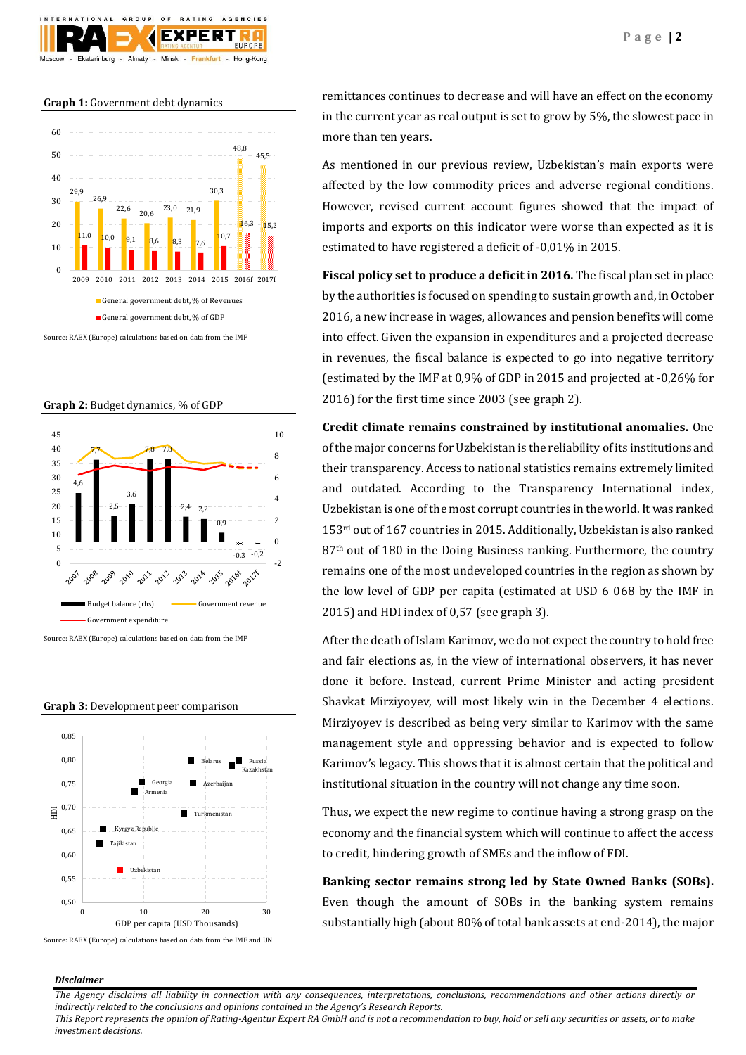

## **Graph 1:** Government debt dynamics



Source: RAEX (Europe) calculations based on data from the IMF

#### **Graph 2:** Budget dynamics, % of GDP



Source: RAEX (Europe) calculations based on data from the IMF

## **Graph 3:** Development peer comparison



Source: RAEX (Europe) calculations based on data from the IMF and UN

remittances continues to decrease and will have an effect on the economy in the current year as real output is set to grow by 5%, the slowest pace in more than ten years.

As mentioned in our previous review, Uzbekistan's main exports were affected by the low commodity prices and adverse regional conditions. However, revised current account figures showed that the impact of imports and exports on this indicator were worse than expected as it is estimated to have registered a deficit of -0,01% in 2015.

**Fiscal policy set to produce a deficit in 2016.** The fiscal plan set in place by the authorities is focused on spending to sustain growth and, in October 2016, a new increase in wages, allowances and pension benefits will come into effect. Given the expansion in expenditures and a projected decrease in revenues, the fiscal balance is expected to go into negative territory (estimated by the IMF at 0,9% of GDP in 2015 and projected at -0,26% for 2016) for the first time since 2003 (see graph 2).

**Credit climate remains constrained by institutional anomalies.** One of the major concerns for Uzbekistan is the reliability of its institutions and their transparency. Access to national statistics remains extremely limited and outdated. According to the Transparency International index, Uzbekistan is one of the most corrupt countries in the world. It was ranked 153rd out of 167 countries in 2015. Additionally, Uzbekistan is also ranked 87<sup>th</sup> out of 180 in the Doing Business ranking. Furthermore, the country remains one of the most undeveloped countries in the region as shown by the low level of GDP per capita (estimated at USD 6 068 by the IMF in 2015) and HDI index of 0,57 (see graph 3).

After the death of Islam Karimov, we do not expect the country to hold free and fair elections as, in the view of international observers, it has never done it before. Instead, current Prime Minister and acting president Shavkat Mirziyoyev, will most likely win in the December 4 elections. Mirziyoyev is described as being very similar to Karimov with the same management style and oppressing behavior and is expected to follow Karimov's legacy. This shows that it is almost certain that the political and institutional situation in the country will not change any time soon.

Thus, we expect the new regime to continue having a strong grasp on the economy and the financial system which will continue to affect the access to credit, hindering growth of SMEs and the inflow of FDI.

**Banking sector remains strong led by State Owned Banks (SOBs).** Even though the amount of SOBs in the banking system remains substantially high (about 80% of total bank assets at end-2014), the major

#### *Disclaimer*

*The Agency disclaims all liability in connection with any consequences, interpretations, conclusions, recommendations and other actions directly or indirectly related to the conclusions and opinions contained in the Agency's Research Reports.*

*This Report represents the opinion of Rating-Agentur Expert RA GmbH and is not a recommendation to buy, hold or sell any securities or assets, or to make investment decisions.*